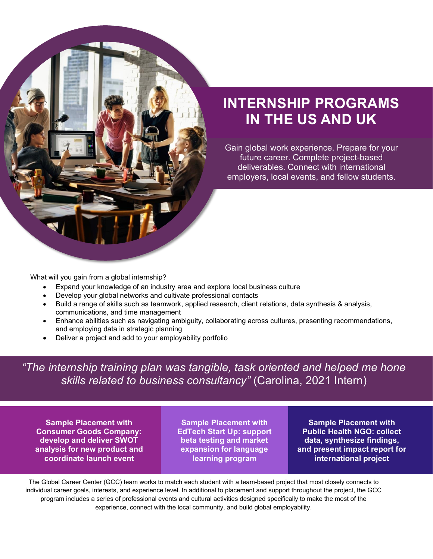

# **INTERNSHIP PROGRAMS IN THE US AND UK**

Gain global work experience. Prepare for your future career. Complete project-based deliverables. Connect with international employers, local events, and fellow students.

What will you gain from a global internship?

- Expand your knowledge of an industry area and explore local business culture
- Develop your global networks and cultivate professional contacts
- Build a range of skills such as teamwork, applied research, client relations, data synthesis & analysis, communications, and time management
- Enhance abilities such as navigating ambiguity, collaborating across cultures, presenting recommendations, and employing data in strategic planning
- Deliver a project and add to your employability portfolio

*³7KHinternship training plan was tangible, task oriented and helped me hone skills related to business consultancy´* (Carolina, 2021 Intern)

**Sample Placement with Consumer Goods Company: develop and deliver SWOT analysis for new product and coordinate launch event**

**Sample Placement with EdTech Start Up: support beta testing and market expansion for language learning program**

**Sample Placement with Public Health NGO: collect data, synthesize findings, and present impact report for international project**

The Global Career Center (GCC) team works to match each student with a team-based project that most closely connects to individual career goals, interests, and experience level. In additional to placement and support throughout the project, the GCC program includes a series of professional events and cultural activities designed specifically to make the most of the experience, connect with the local community, and build global employability.